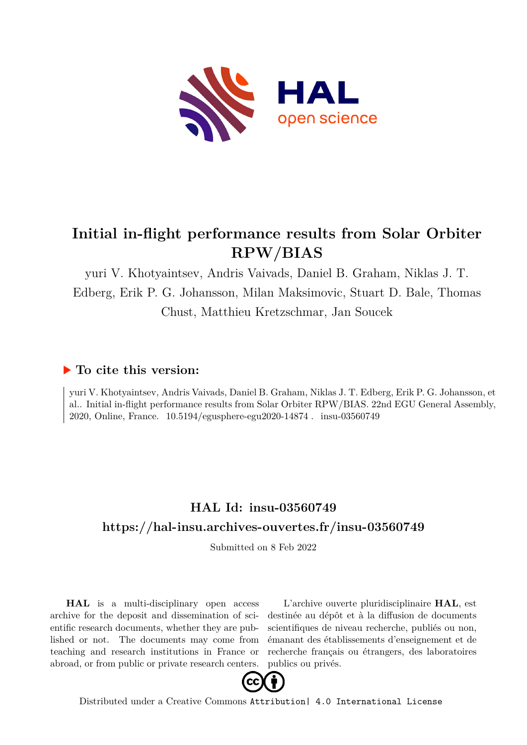

## **Initial in-flight performance results from Solar Orbiter RPW/BIAS**

yuri V. Khotyaintsev, Andris Vaivads, Daniel B. Graham, Niklas J. T.

Edberg, Erik P. G. Johansson, Milan Maksimovic, Stuart D. Bale, Thomas Chust, Matthieu Kretzschmar, Jan Soucek

## **To cite this version:**

yuri V. Khotyaintsev, Andris Vaivads, Daniel B. Graham, Niklas J. T. Edberg, Erik P. G. Johansson, et al.. Initial in-flight performance results from Solar Orbiter RPW/BIAS. 22nd EGU General Assembly, 2020, Online, France. 10.5194/egusphere-egu2020-14874. insu-03560749

## **HAL Id: insu-03560749 <https://hal-insu.archives-ouvertes.fr/insu-03560749>**

Submitted on 8 Feb 2022

**HAL** is a multi-disciplinary open access archive for the deposit and dissemination of scientific research documents, whether they are published or not. The documents may come from teaching and research institutions in France or abroad, or from public or private research centers.

L'archive ouverte pluridisciplinaire **HAL**, est destinée au dépôt et à la diffusion de documents scientifiques de niveau recherche, publiés ou non, émanant des établissements d'enseignement et de recherche français ou étrangers, des laboratoires publics ou privés.



Distributed under a Creative Commons [Attribution| 4.0 International License](http://creativecommons.org/licenses/by/4.0/)